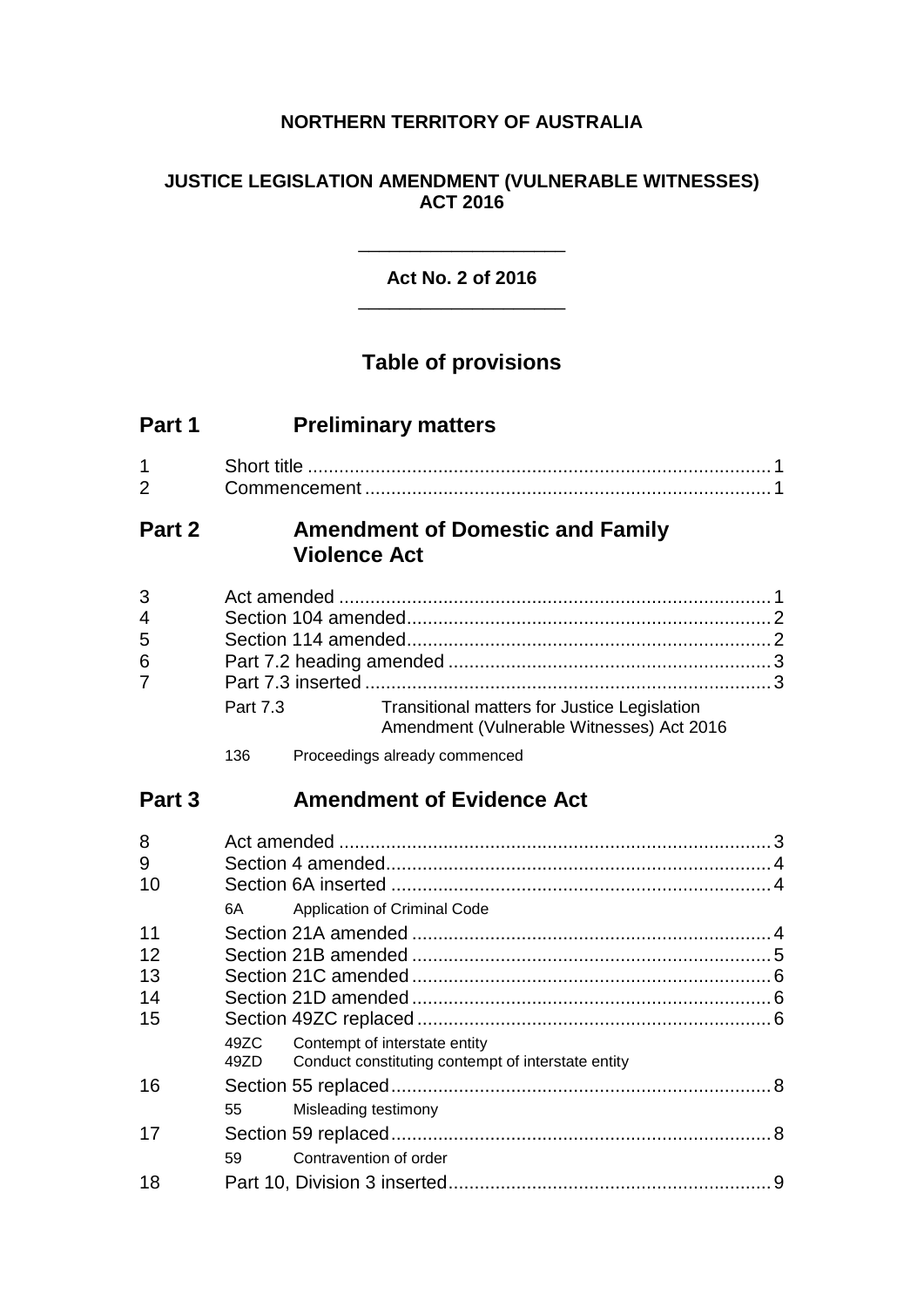## **NORTHERN TERRITORY OF AUSTRALIA**

## **JUSTICE LEGISLATION AMENDMENT (VULNERABLE WITNESSES) ACT 2016**

## **Act No. 2 of 2016** \_\_\_\_\_\_\_\_\_\_\_\_\_\_\_\_\_\_\_\_

\_\_\_\_\_\_\_\_\_\_\_\_\_\_\_\_\_\_\_\_

## **Table of provisions**

| Part 1 | <b>Preliminary matters</b> |  |
|--------|----------------------------|--|
|--------|----------------------------|--|

| ⌒ |  |
|---|--|

## **Part 2 Amendment of Domestic and Family Violence Act**

| 3 <sup>1</sup>  |          |                                                                                           |  |
|-----------------|----------|-------------------------------------------------------------------------------------------|--|
| $\overline{4}$  |          |                                                                                           |  |
| 5               |          |                                                                                           |  |
| $6\phantom{1}6$ |          |                                                                                           |  |
| $\overline{7}$  |          |                                                                                           |  |
|                 | Part 7.3 | Transitional matters for Justice Legislation<br>Amendment (Vulnerable Witnesses) Act 2016 |  |

136 Proceedings already commenced

## **Part 3 Amendment of Evidence Act**

| 8  |        |                                                                                          |  |
|----|--------|------------------------------------------------------------------------------------------|--|
| 9  |        |                                                                                          |  |
| 10 |        |                                                                                          |  |
|    | 6A     | Application of Criminal Code                                                             |  |
| 11 |        |                                                                                          |  |
| 12 |        |                                                                                          |  |
| 13 |        |                                                                                          |  |
| 14 |        |                                                                                          |  |
| 15 |        |                                                                                          |  |
|    | 49ZD — | 49ZC Contempt of interstate entity<br>Conduct constituting contempt of interstate entity |  |
| 16 |        |                                                                                          |  |
|    | 55     | Misleading testimony                                                                     |  |
| 17 |        |                                                                                          |  |
|    | 59     | Contravention of order                                                                   |  |
| 18 |        |                                                                                          |  |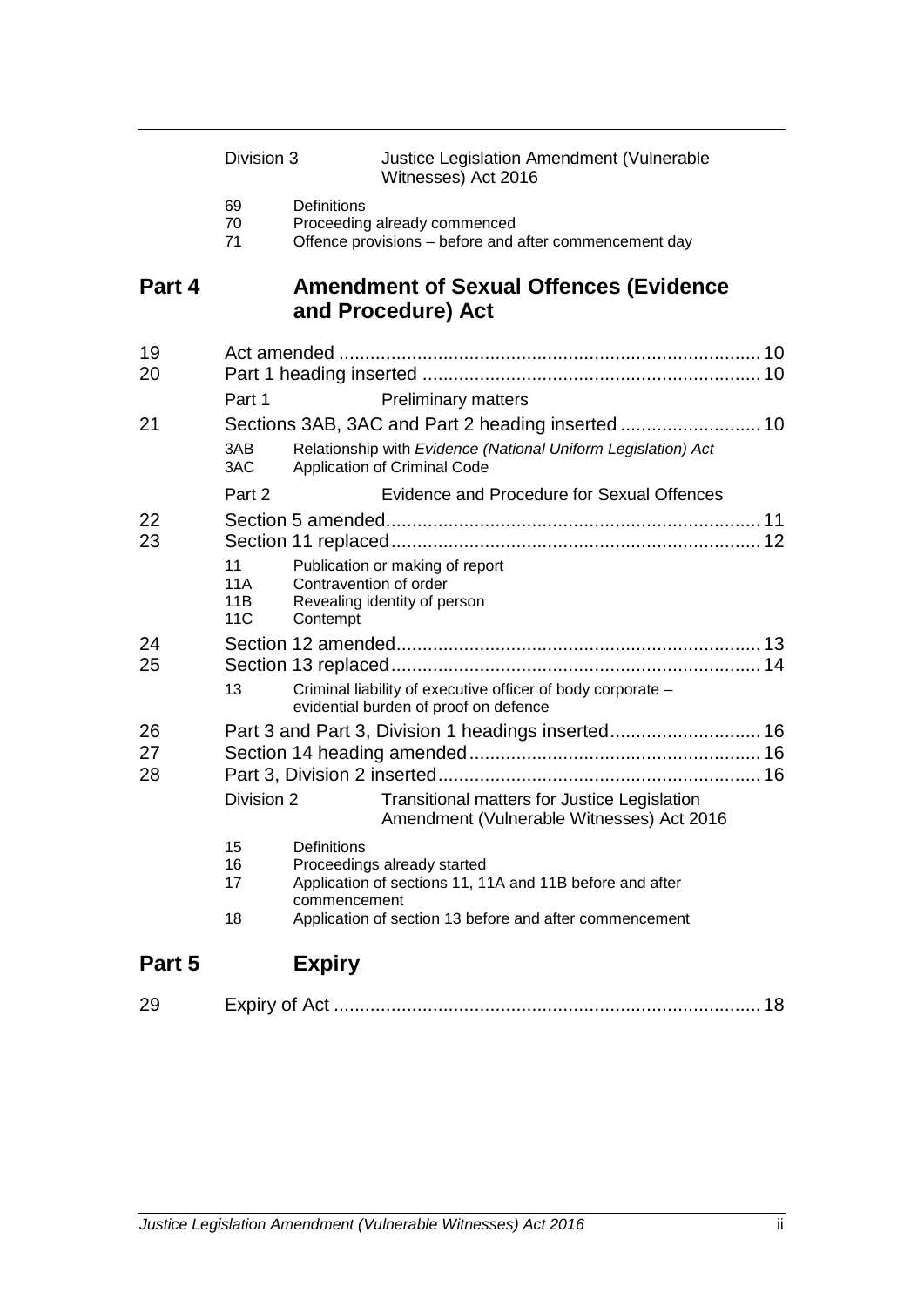|                | Division 3              |                                    | Justice Legislation Amendment (Vulnerable<br>Witnesses) Act 2016                                                                                   |  |
|----------------|-------------------------|------------------------------------|----------------------------------------------------------------------------------------------------------------------------------------------------|--|
|                | 69<br>70<br>71          | Definitions                        | Proceeding already commenced<br>Offence provisions - before and after commencement day                                                             |  |
| Part 4         |                         |                                    | <b>Amendment of Sexual Offences (Evidence</b><br>and Procedure) Act                                                                                |  |
| 19<br>20       | Part 1                  |                                    | <b>Preliminary matters</b>                                                                                                                         |  |
| 21             | 3AB<br>3AC              |                                    | Relationship with Evidence (National Uniform Legislation) Act<br>Application of Criminal Code                                                      |  |
|                | Part 2                  |                                    | Evidence and Procedure for Sexual Offences                                                                                                         |  |
| 22<br>23       | 11<br>11A<br>11B<br>11C | Contravention of order<br>Contempt | Publication or making of report<br>Revealing identity of person                                                                                    |  |
| 24<br>25       | 13                      |                                    | Criminal liability of executive officer of body corporate -<br>evidential burden of proof on defence                                               |  |
| 26<br>27<br>28 | Division 2              |                                    | Part 3 and Part 3, Division 1 headings inserted 16<br>Transitional matters for Justice Legislation<br>Amendment (Vulnerable Witnesses) Act 2016    |  |
|                | 15<br>16<br>17<br>18    | Definitions<br>commencement        | Proceedings already started<br>Application of sections 11, 11A and 11B before and after<br>Application of section 13 before and after commencement |  |
| Part 5         |                         | <b>Expiry</b>                      |                                                                                                                                                    |  |

| $\sim$ | $V \cap W$ |  |  |
|--------|------------|--|--|
|--------|------------|--|--|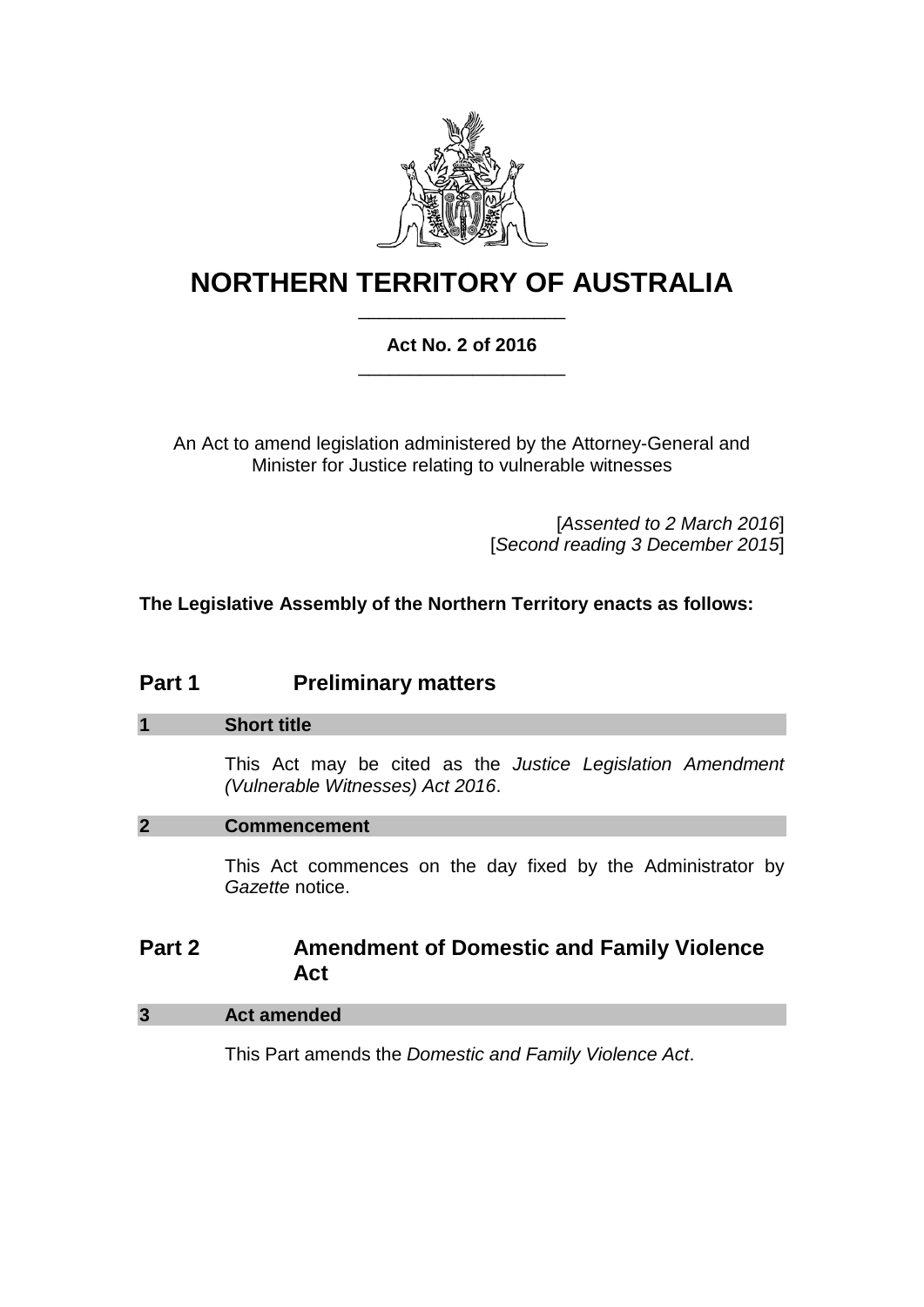

# **NORTHERN TERRITORY OF AUSTRALIA** \_\_\_\_\_\_\_\_\_\_\_\_\_\_\_\_\_\_\_\_

## **Act No. 2 of 2016** \_\_\_\_\_\_\_\_\_\_\_\_\_\_\_\_\_\_\_\_

An Act to amend legislation administered by the Attorney-General and Minister for Justice relating to vulnerable witnesses

> [*Assented to 2 March 2016*] [*Second reading 3 December 2015*]

**The Legislative Assembly of the Northern Territory enacts as follows:**

## **Part 1 Preliminary matters**

## **1 Short title**

This Act may be cited as the *Justice Legislation Amendment (Vulnerable Witnesses) Act 2016*.

## **2 Commencement**

This Act commences on the day fixed by the Administrator by *Gazette* notice.

## **Part 2 Amendment of Domestic and Family Violence Act**

## **3 Act amended**

This Part amends the *Domestic and Family Violence Act*.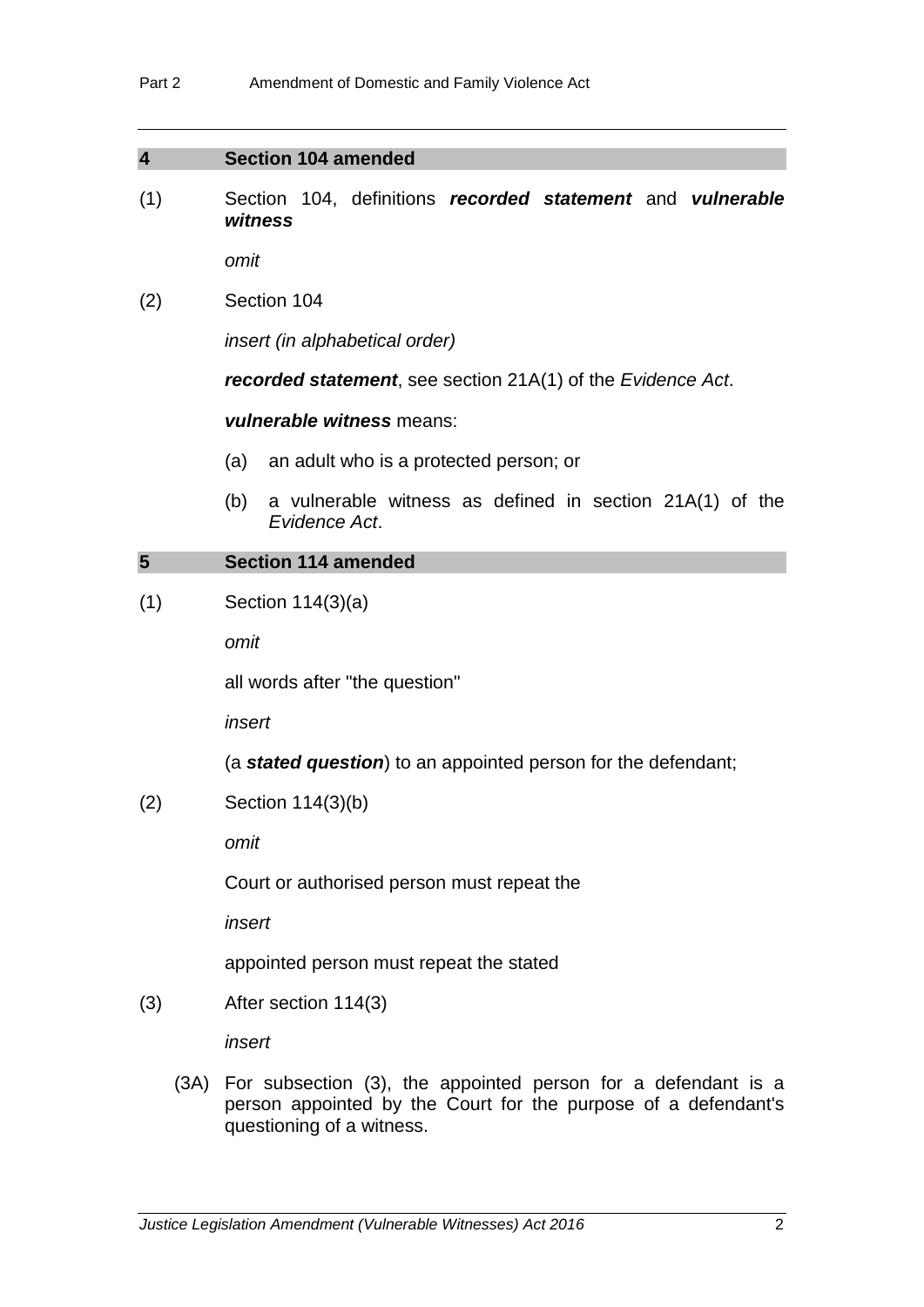$\sim$ 

| $\overline{\mathbf{4}}$ |                      | <b>Section 104 amended</b>                                                                                                                                        |  |  |
|-------------------------|----------------------|-------------------------------------------------------------------------------------------------------------------------------------------------------------------|--|--|
| (1)                     |                      | Section 104, definitions recorded statement and vulnerable<br>witness                                                                                             |  |  |
|                         |                      | omit                                                                                                                                                              |  |  |
| (2)                     |                      | Section 104                                                                                                                                                       |  |  |
|                         |                      | <i>insert (in alphabetical order)</i>                                                                                                                             |  |  |
|                         |                      | <b>recorded statement</b> , see section 21A(1) of the Evidence Act.                                                                                               |  |  |
|                         |                      | vulnerable witness means:                                                                                                                                         |  |  |
|                         |                      | (a)<br>an adult who is a protected person; or                                                                                                                     |  |  |
|                         |                      | a vulnerable witness as defined in section 21A(1) of the<br>(b)<br>Evidence Act.                                                                                  |  |  |
| 5                       |                      | <b>Section 114 amended</b>                                                                                                                                        |  |  |
| (1)                     |                      | Section $114(3)(a)$                                                                                                                                               |  |  |
|                         |                      | omit                                                                                                                                                              |  |  |
|                         |                      | all words after "the question"                                                                                                                                    |  |  |
|                         |                      | insert                                                                                                                                                            |  |  |
|                         |                      | (a <b>stated question</b> ) to an appointed person for the defendant;                                                                                             |  |  |
| (2)                     |                      | Section 114(3)(b)                                                                                                                                                 |  |  |
|                         | omit                 |                                                                                                                                                                   |  |  |
|                         |                      | Court or authorised person must repeat the                                                                                                                        |  |  |
|                         |                      | insert                                                                                                                                                            |  |  |
|                         |                      | appointed person must repeat the stated                                                                                                                           |  |  |
| (3)                     | After section 114(3) |                                                                                                                                                                   |  |  |
|                         |                      | insert                                                                                                                                                            |  |  |
|                         |                      | (3A) For subsection (3), the appointed person for a defendant is a<br>person appointed by the Court for the purpose of a defendant's<br>questioning of a witness. |  |  |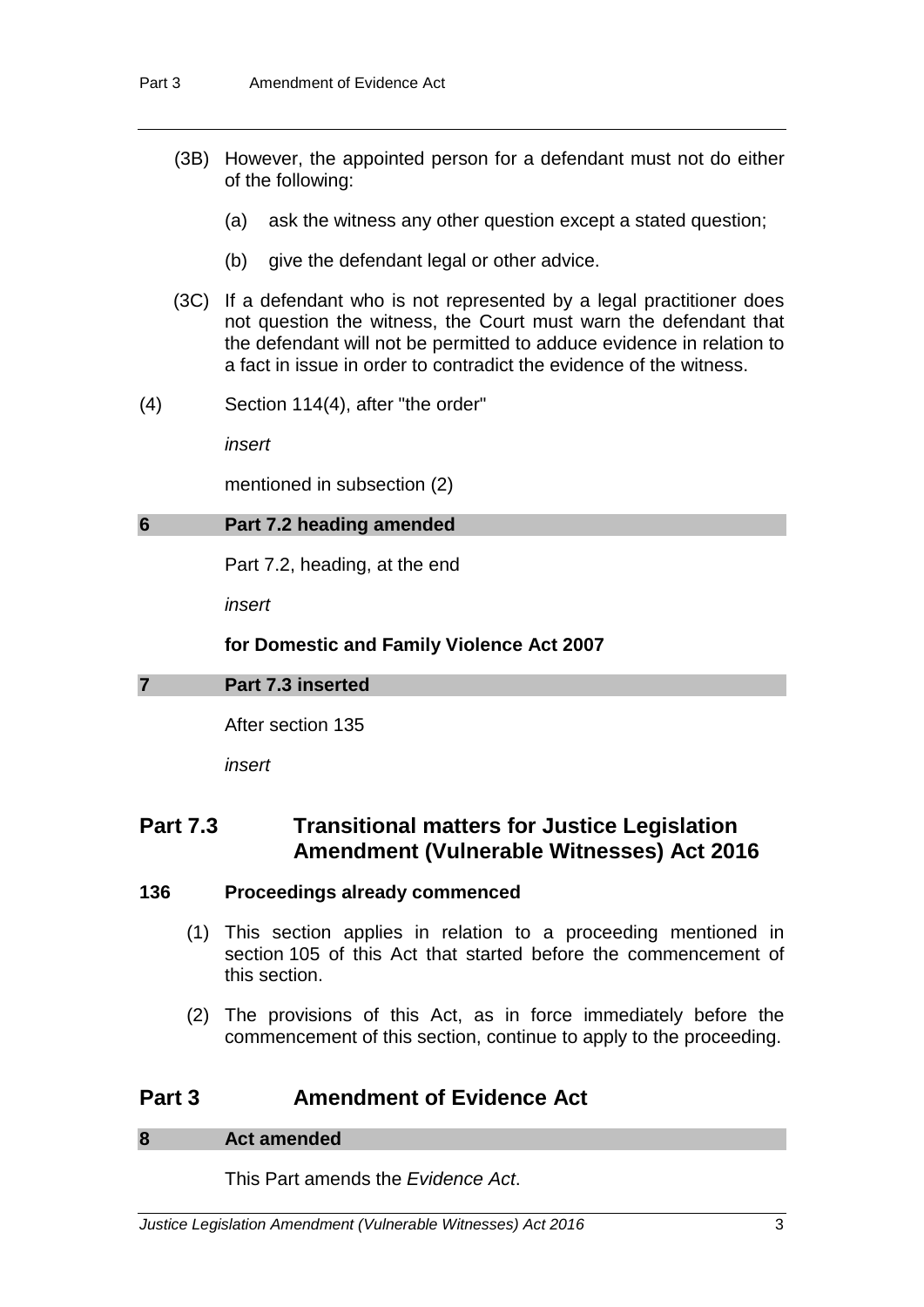- (3B) However, the appointed person for a defendant must not do either of the following:
	- (a) ask the witness any other question except a stated question;
	- (b) give the defendant legal or other advice.
- (3C) If a defendant who is not represented by a legal practitioner does not question the witness, the Court must warn the defendant that the defendant will not be permitted to adduce evidence in relation to a fact in issue in order to contradict the evidence of the witness.
- (4) Section 114(4), after "the order"

*insert*

mentioned in subsection (2)

#### **6 Part 7.2 heading amended**

Part 7.2, heading, at the end

*insert*

#### **for Domestic and Family Violence Act 2007**

#### **7 Part 7.3 inserted**

After section 135

*insert*

## **Part 7.3 Transitional matters for Justice Legislation Amendment (Vulnerable Witnesses) Act 2016**

#### **136 Proceedings already commenced**

- (1) This section applies in relation to a proceeding mentioned in section 105 of this Act that started before the commencement of this section.
- (2) The provisions of this Act, as in force immediately before the commencement of this section, continue to apply to the proceeding.

## **Part 3 Amendment of Evidence Act**

#### **8 Act amended**

This Part amends the *Evidence Act*.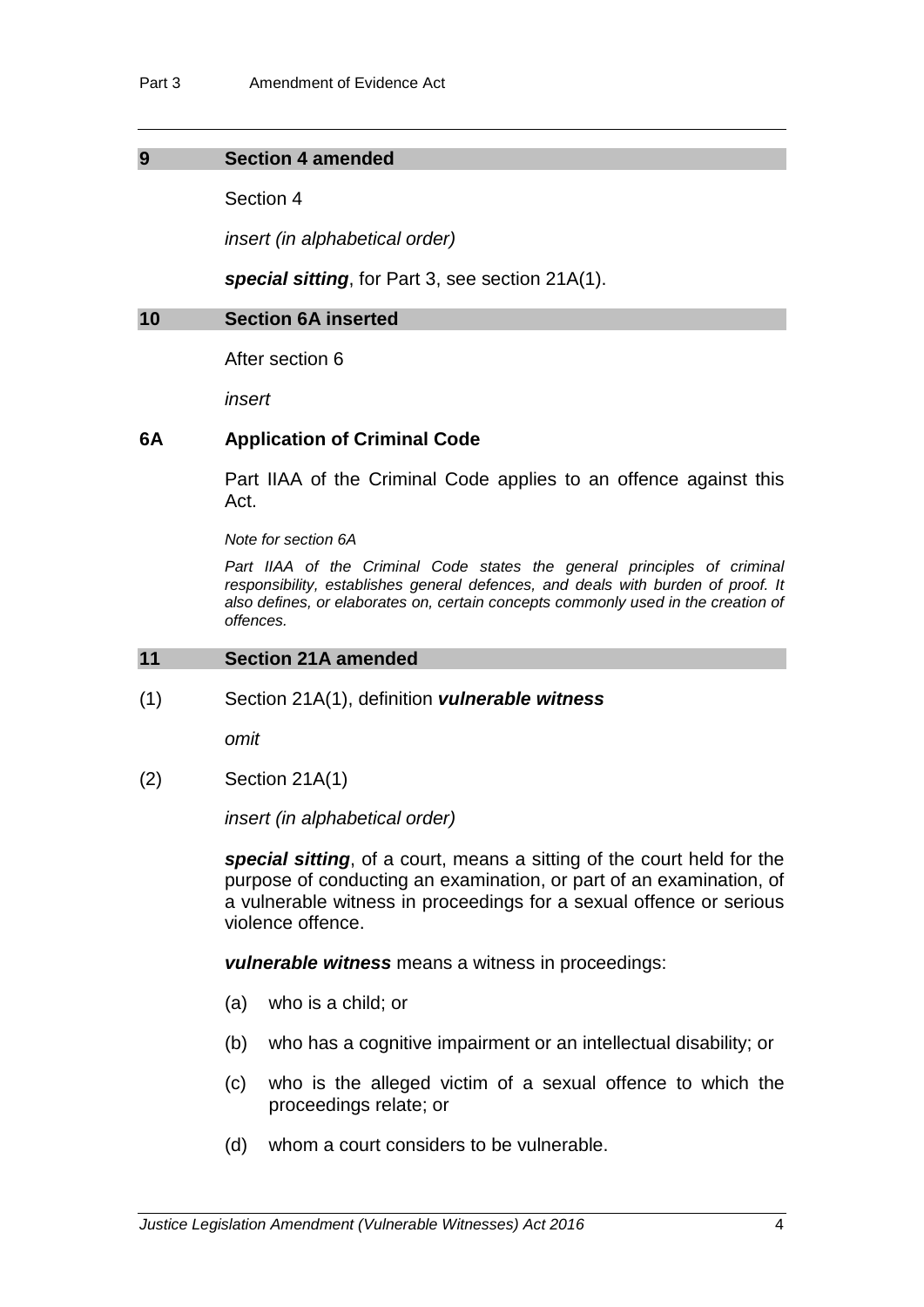#### **9 Section 4 amended**

Section 4

*insert (in alphabetical order)*

*special sitting*, for Part 3, see section 21A(1).

#### **10 Section 6A inserted**

After section 6

*insert*

#### **6A Application of Criminal Code**

Part IIAA of the Criminal Code applies to an offence against this Act.

*Note for section 6A*

Part IIAA of the Criminal Code states the general principles of criminal *responsibility, establishes general defences, and deals with burden of proof. It also defines, or elaborates on, certain concepts commonly used in the creation of offences.*

## **11 Section 21A amended**

(1) Section 21A(1), definition *vulnerable witness*

*omit*

(2) Section 21A(1)

*insert (in alphabetical order)*

*special sitting*, of a court, means a sitting of the court held for the purpose of conducting an examination, or part of an examination, of a vulnerable witness in proceedings for a sexual offence or serious violence offence.

*vulnerable witness* means a witness in proceedings:

- (a) who is a child; or
- (b) who has a cognitive impairment or an intellectual disability; or
- (c) who is the alleged victim of a sexual offence to which the proceedings relate; or
- (d) whom a court considers to be vulnerable.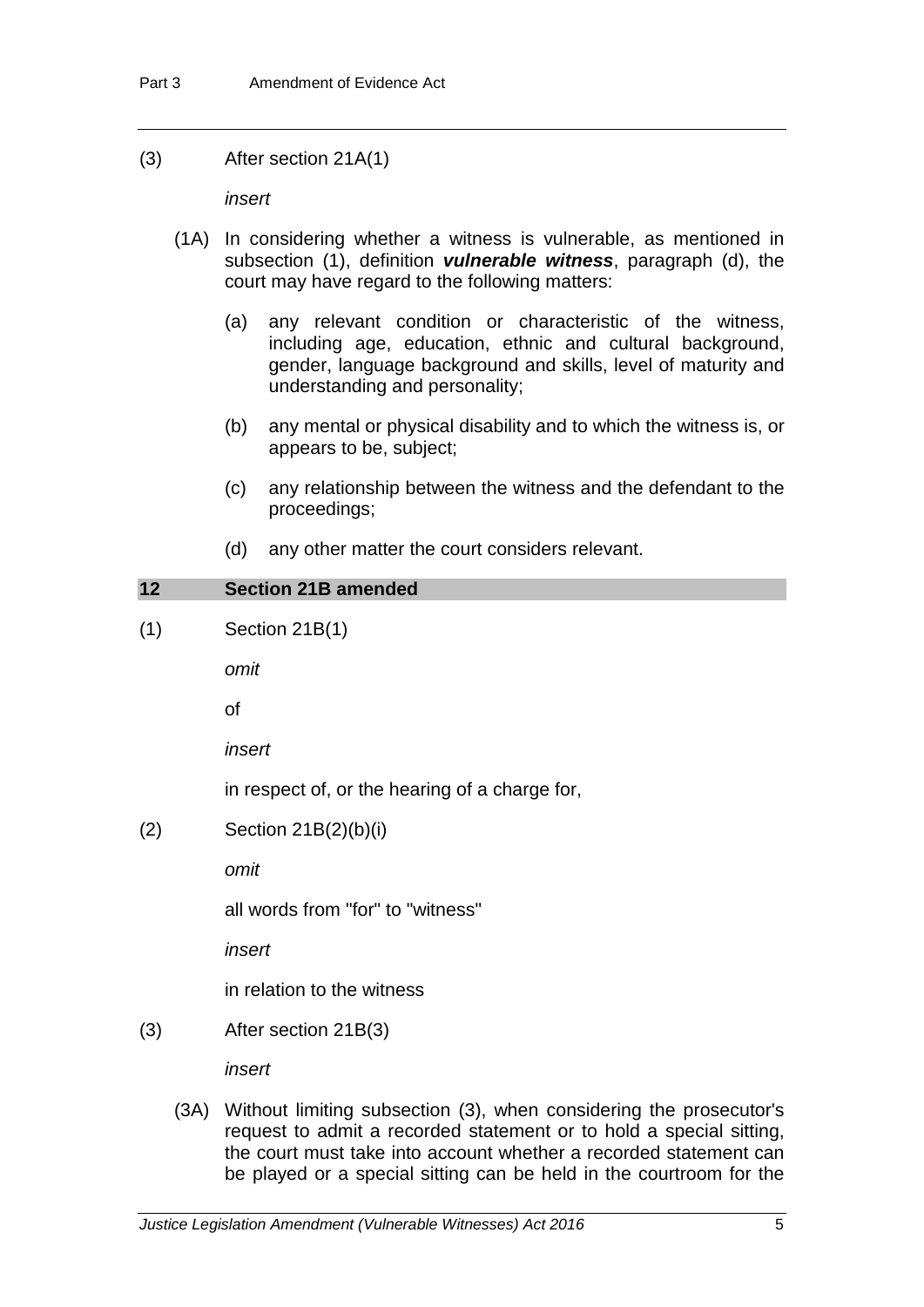| (3) | After section 21A(1) |  |
|-----|----------------------|--|
|-----|----------------------|--|

*insert*

- (1A) In considering whether a witness is vulnerable, as mentioned in subsection (1), definition *vulnerable witness*, paragraph (d), the court may have regard to the following matters:
	- (a) any relevant condition or characteristic of the witness, including age, education, ethnic and cultural background, gender, language background and skills, level of maturity and understanding and personality;
	- (b) any mental or physical disability and to which the witness is, or appears to be, subject;
	- (c) any relationship between the witness and the defendant to the proceedings;
	- (d) any other matter the court considers relevant.

| 12  |      | <b>Section 21B amended</b>                                                                                                                |
|-----|------|-------------------------------------------------------------------------------------------------------------------------------------------|
| (1) |      | Section 21B(1)                                                                                                                            |
|     |      | omit                                                                                                                                      |
|     |      | οf                                                                                                                                        |
|     |      | insert                                                                                                                                    |
|     |      | in respect of, or the hearing of a charge for,                                                                                            |
| (2) |      | Section $21B(2)(b)(i)$                                                                                                                    |
|     |      | omit                                                                                                                                      |
|     |      | all words from "for" to "witness"                                                                                                         |
|     |      | insert                                                                                                                                    |
|     |      | in relation to the witness                                                                                                                |
| (3) |      | After section 21B(3)                                                                                                                      |
|     |      | insert                                                                                                                                    |
|     | (3A) | Without limiting subsection (3), when considering the prosecutor's<br>request to admit a recorded statement or to hold a special sitting, |

the court must take into account whether a recorded statement can be played or a special sitting can be held in the courtroom for the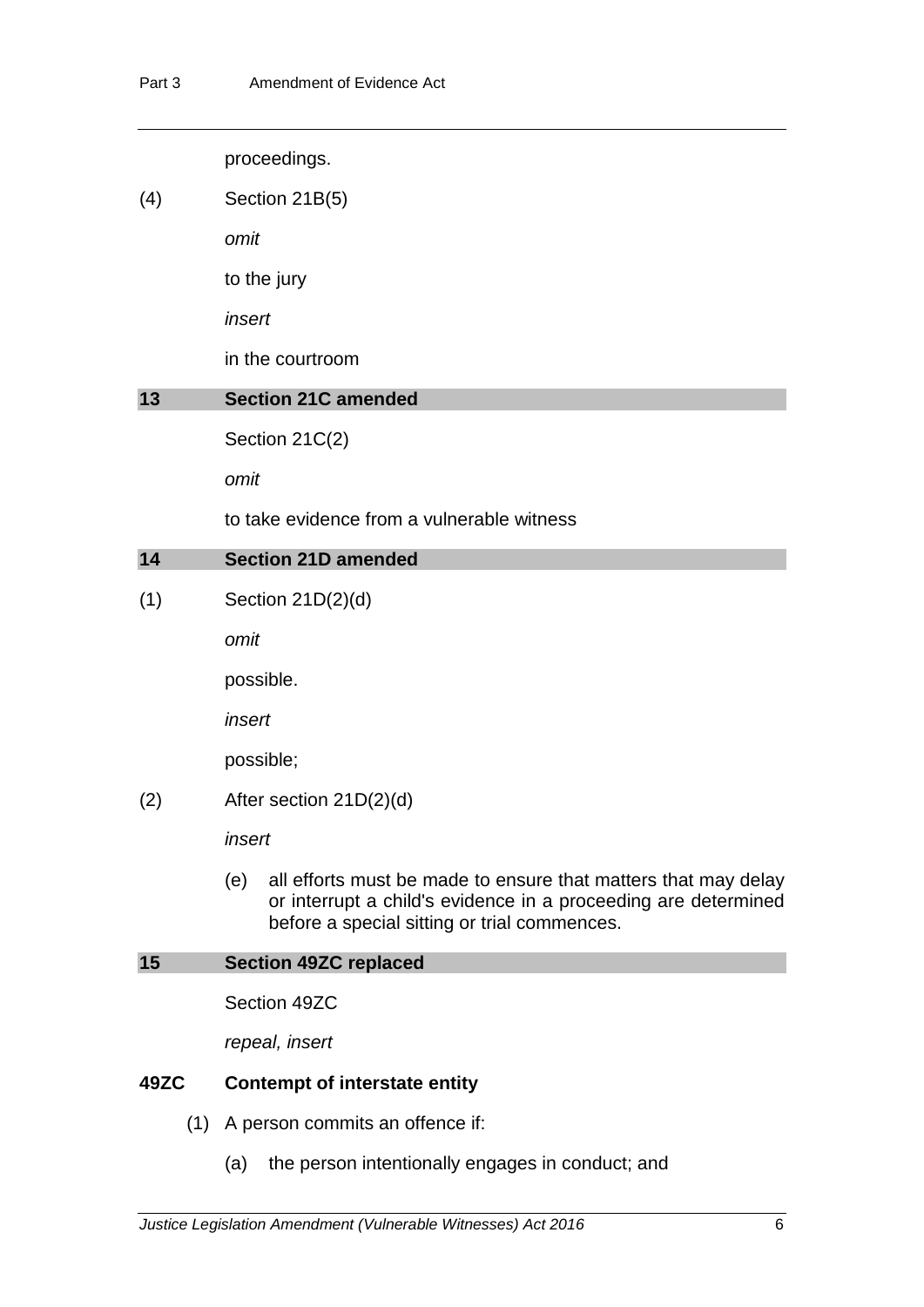proceedings.

(4) Section 21B(5)

*omit*

to the jury

*insert*

in the courtroom

## **13 Section 21C amended**

Section 21C(2)

*omit*

to take evidence from a vulnerable witness

## **14 Section 21D amended**

(1) Section 21D(2)(d)

*omit*

possible.

*insert*

possible;

(2) After section 21D(2)(d)

*insert*

(e) all efforts must be made to ensure that matters that may delay or interrupt a child's evidence in a proceeding are determined before a special sitting or trial commences.

## **15 Section 49ZC replaced**

Section 49ZC

*repeal, insert*

## **49ZC Contempt of interstate entity**

- (1) A person commits an offence if:
	- (a) the person intentionally engages in conduct; and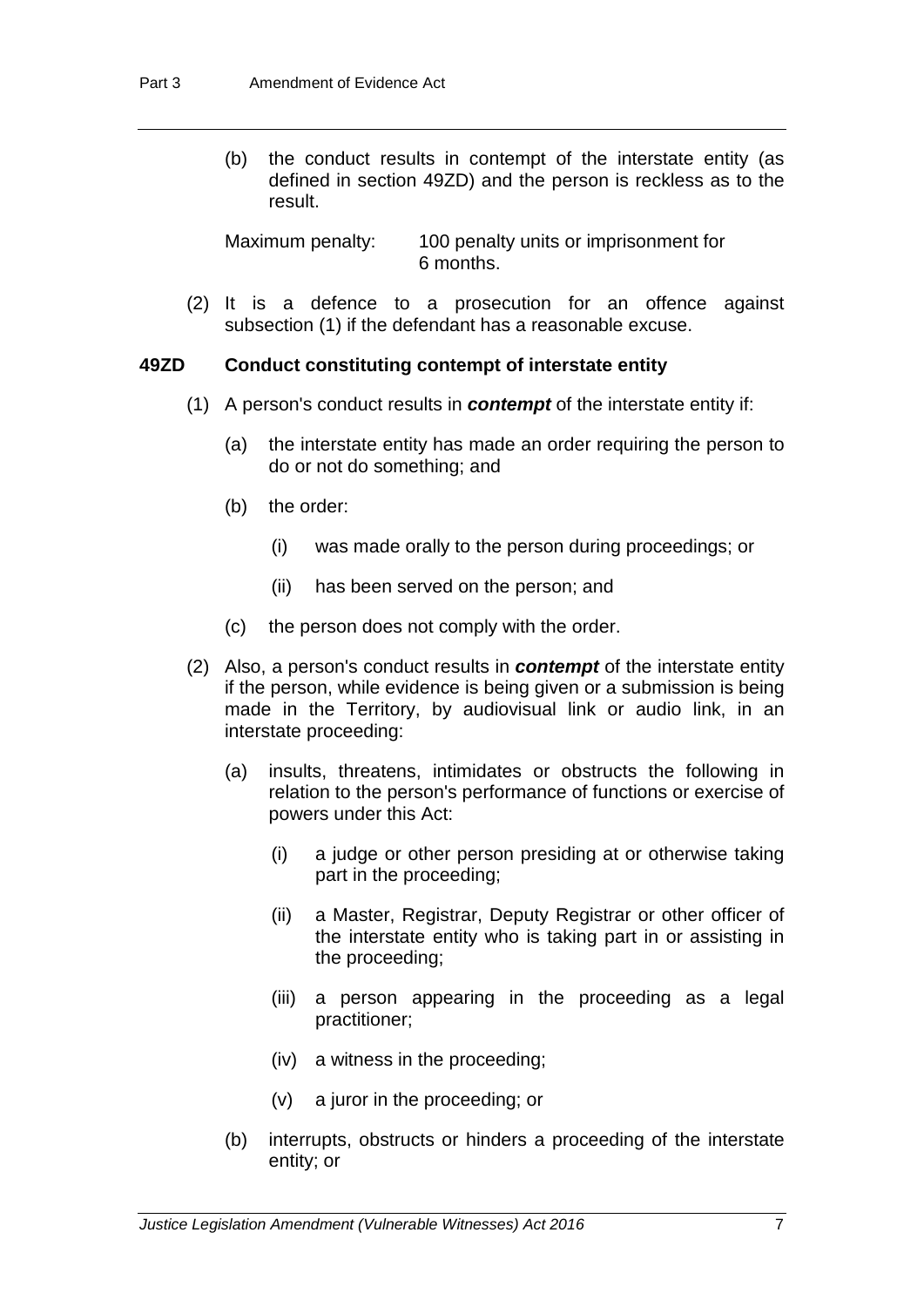(b) the conduct results in contempt of the interstate entity (as defined in section 49ZD) and the person is reckless as to the result.

Maximum penalty: 100 penalty units or imprisonment for 6 months.

(2) It is a defence to a prosecution for an offence against subsection (1) if the defendant has a reasonable excuse.

#### **49ZD Conduct constituting contempt of interstate entity**

- (1) A person's conduct results in *contempt* of the interstate entity if:
	- (a) the interstate entity has made an order requiring the person to do or not do something; and
	- (b) the order:
		- (i) was made orally to the person during proceedings; or
		- (ii) has been served on the person; and
	- (c) the person does not comply with the order.
- (2) Also, a person's conduct results in *contempt* of the interstate entity if the person, while evidence is being given or a submission is being made in the Territory, by audiovisual link or audio link, in an interstate proceeding:
	- (a) insults, threatens, intimidates or obstructs the following in relation to the person's performance of functions or exercise of powers under this Act:
		- (i) a judge or other person presiding at or otherwise taking part in the proceeding;
		- (ii) a Master, Registrar, Deputy Registrar or other officer of the interstate entity who is taking part in or assisting in the proceeding;
		- (iii) a person appearing in the proceeding as a legal practitioner;
		- (iv) a witness in the proceeding;
		- (v) a juror in the proceeding; or
	- (b) interrupts, obstructs or hinders a proceeding of the interstate entity; or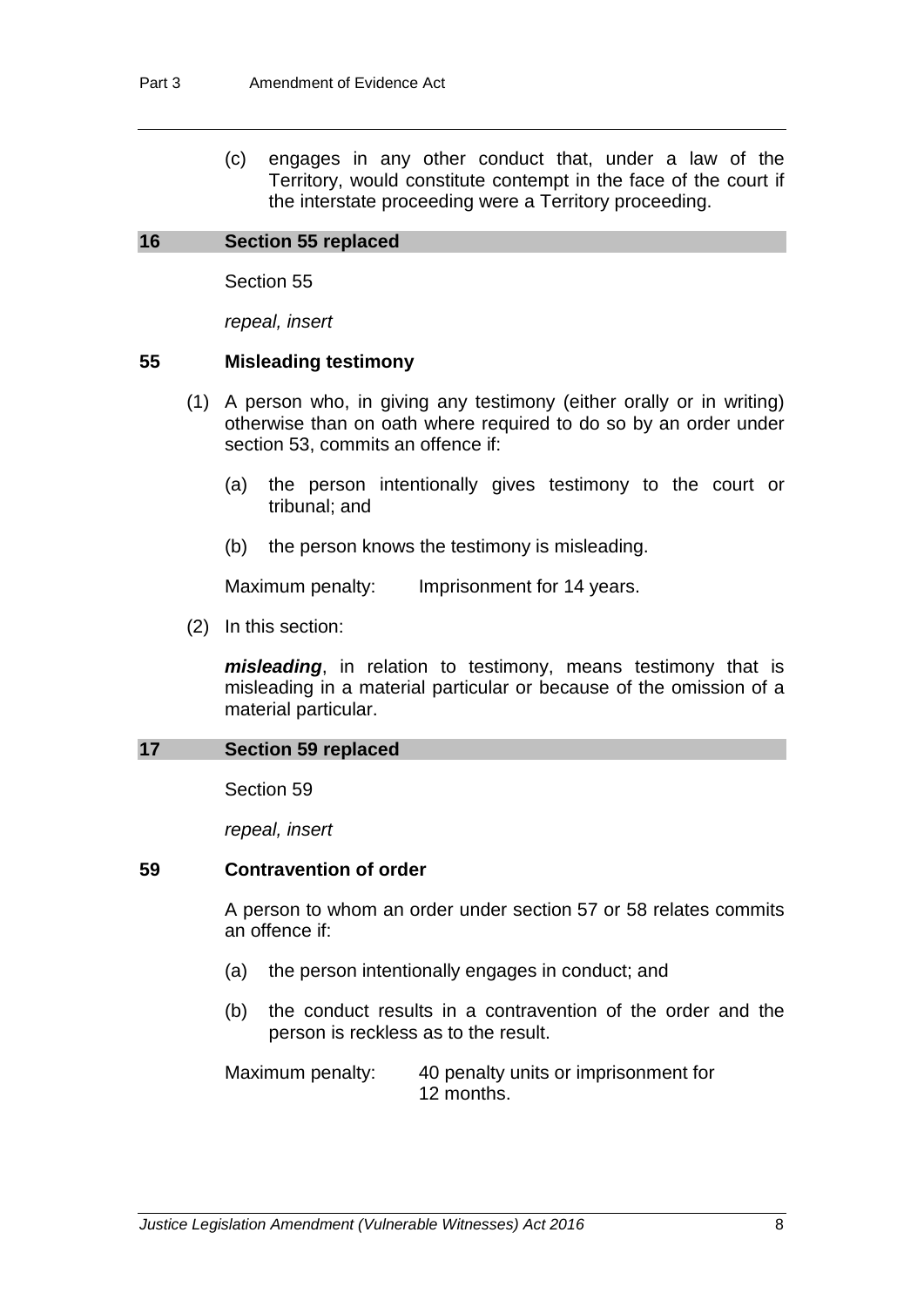(c) engages in any other conduct that, under a law of the Territory, would constitute contempt in the face of the court if the interstate proceeding were a Territory proceeding.

#### **16 Section 55 replaced**

Section 55

*repeal, insert*

#### **55 Misleading testimony**

- (1) A person who, in giving any testimony (either orally or in writing) otherwise than on oath where required to do so by an order under section 53, commits an offence if:
	- (a) the person intentionally gives testimony to the court or tribunal; and
	- (b) the person knows the testimony is misleading.

Maximum penalty: Imprisonment for 14 years.

(2) In this section:

*misleading*, in relation to testimony, means testimony that is misleading in a material particular or because of the omission of a material particular.

#### **17 Section 59 replaced**

Section 59

*repeal, insert*

## **59 Contravention of order**

A person to whom an order under section 57 or 58 relates commits an offence if:

- (a) the person intentionally engages in conduct; and
- (b) the conduct results in a contravention of the order and the person is reckless as to the result.

Maximum penalty: 40 penalty units or imprisonment for 12 months.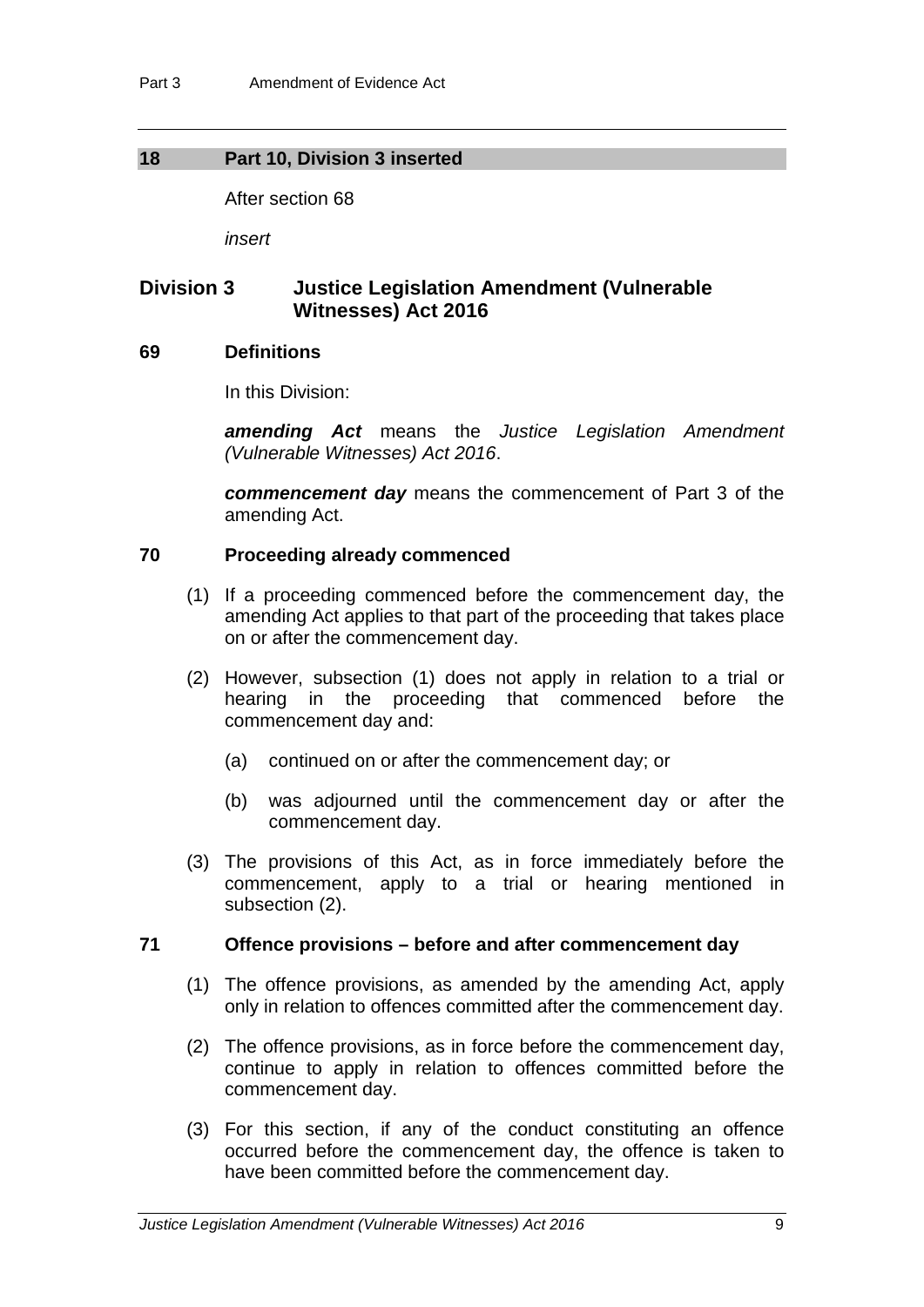#### **18 Part 10, Division 3 inserted**

After section 68

*insert*

## **Division 3 Justice Legislation Amendment (Vulnerable Witnesses) Act 2016**

#### **69 Definitions**

In this Division:

*amending Act* means the *Justice Legislation Amendment (Vulnerable Witnesses) Act 2016*.

*commencement day* means the commencement of Part 3 of the amending Act.

#### **70 Proceeding already commenced**

- (1) If a proceeding commenced before the commencement day, the amending Act applies to that part of the proceeding that takes place on or after the commencement day.
- (2) However, subsection (1) does not apply in relation to a trial or hearing in the proceeding that commenced before the commencement day and:
	- (a) continued on or after the commencement day; or
	- (b) was adjourned until the commencement day or after the commencement day.
- (3) The provisions of this Act, as in force immediately before the commencement, apply to a trial or hearing mentioned in subsection (2).

#### **71 Offence provisions – before and after commencement day**

- (1) The offence provisions, as amended by the amending Act, apply only in relation to offences committed after the commencement day.
- (2) The offence provisions, as in force before the commencement day, continue to apply in relation to offences committed before the commencement day.
- (3) For this section, if any of the conduct constituting an offence occurred before the commencement day, the offence is taken to have been committed before the commencement day.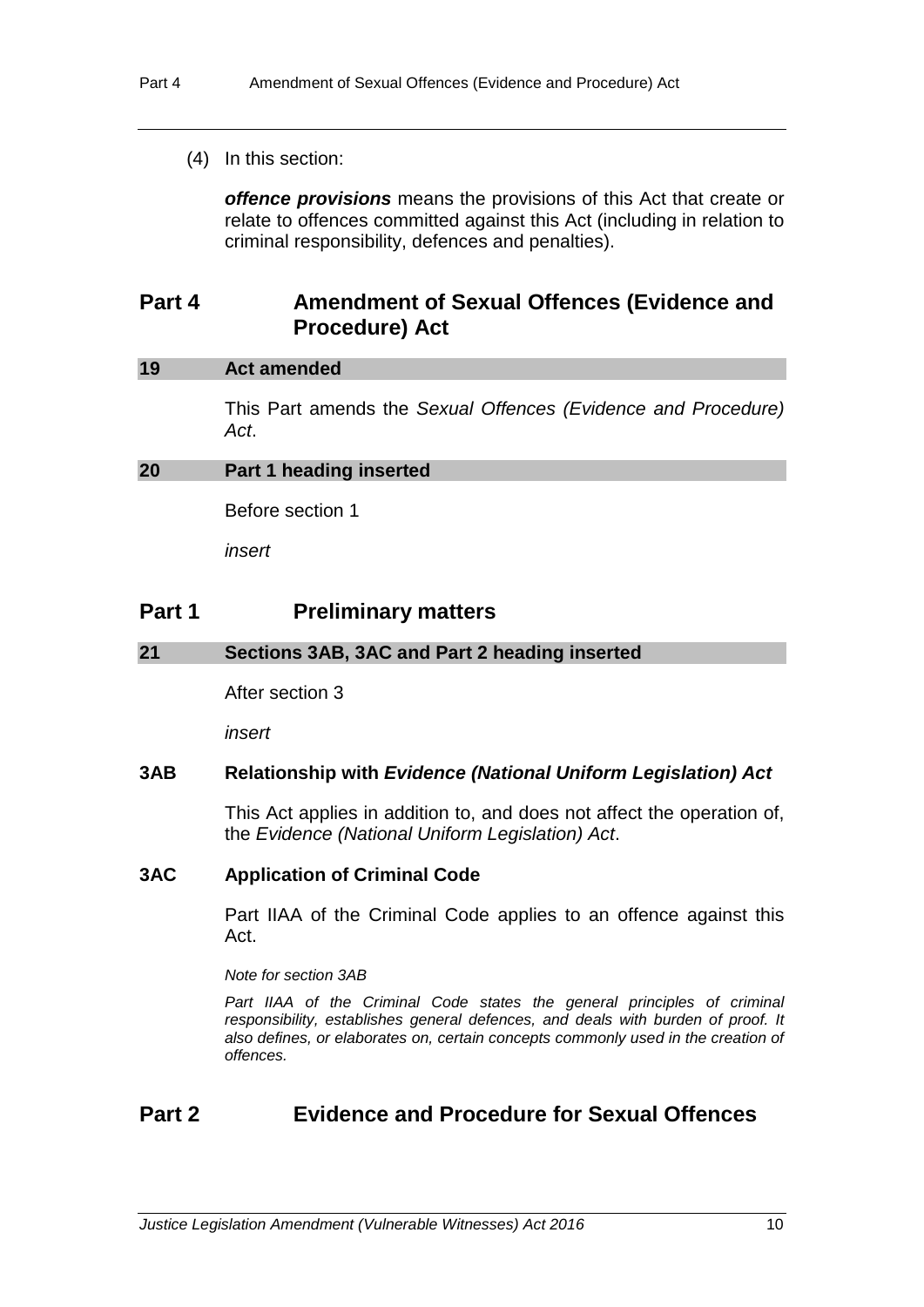#### (4) In this section:

*offence provisions* means the provisions of this Act that create or relate to offences committed against this Act (including in relation to criminal responsibility, defences and penalties).

## **Part 4 Amendment of Sexual Offences (Evidence and Procedure) Act**

#### **19 Act amended**

This Part amends the *Sexual Offences (Evidence and Procedure) Act*.

#### **20 Part 1 heading inserted**

Before section 1

*insert*

## **Part 1 Preliminary matters**

#### **21 Sections 3AB, 3AC and Part 2 heading inserted**

After section 3

*insert*

#### **3AB Relationship with** *Evidence (National Uniform Legislation) Act*

This Act applies in addition to, and does not affect the operation of, the *Evidence (National Uniform Legislation) Act*.

#### **3AC Application of Criminal Code**

Part IIAA of the Criminal Code applies to an offence against this Act.

*Note for section 3AB*

Part IIAA of the Criminal Code states the general principles of criminal *responsibility, establishes general defences, and deals with burden of proof. It also defines, or elaborates on, certain concepts commonly used in the creation of offences.*

## **Part 2 Evidence and Procedure for Sexual Offences**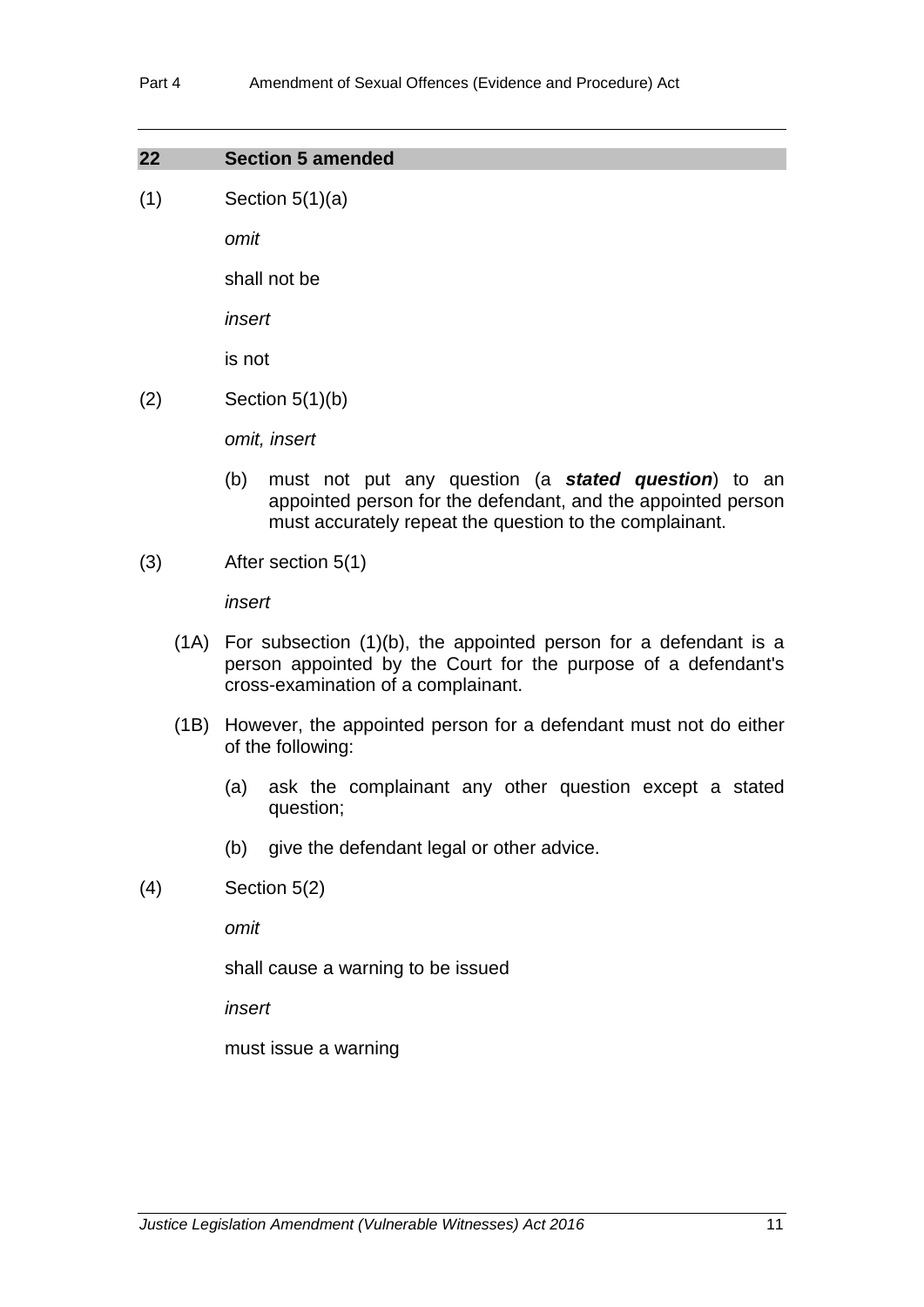| 22 | <b>Section 5 amended</b> |
|----|--------------------------|
|    |                          |

 $(1)$  Section  $5(1)(a)$ 

*omit*

shall not be

*insert*

is not

 $(2)$  Section 5(1)(b)

*omit, insert*

- (b) must not put any question (a *stated question*) to an appointed person for the defendant, and the appointed person must accurately repeat the question to the complainant.
- (3) After section 5(1)

*insert*

- (1A) For subsection (1)(b), the appointed person for a defendant is a person appointed by the Court for the purpose of a defendant's cross-examination of a complainant.
- (1B) However, the appointed person for a defendant must not do either of the following:
	- (a) ask the complainant any other question except a stated question;
	- (b) give the defendant legal or other advice.
- (4) Section 5(2)

*omit*

shall cause a warning to be issued

*insert*

must issue a warning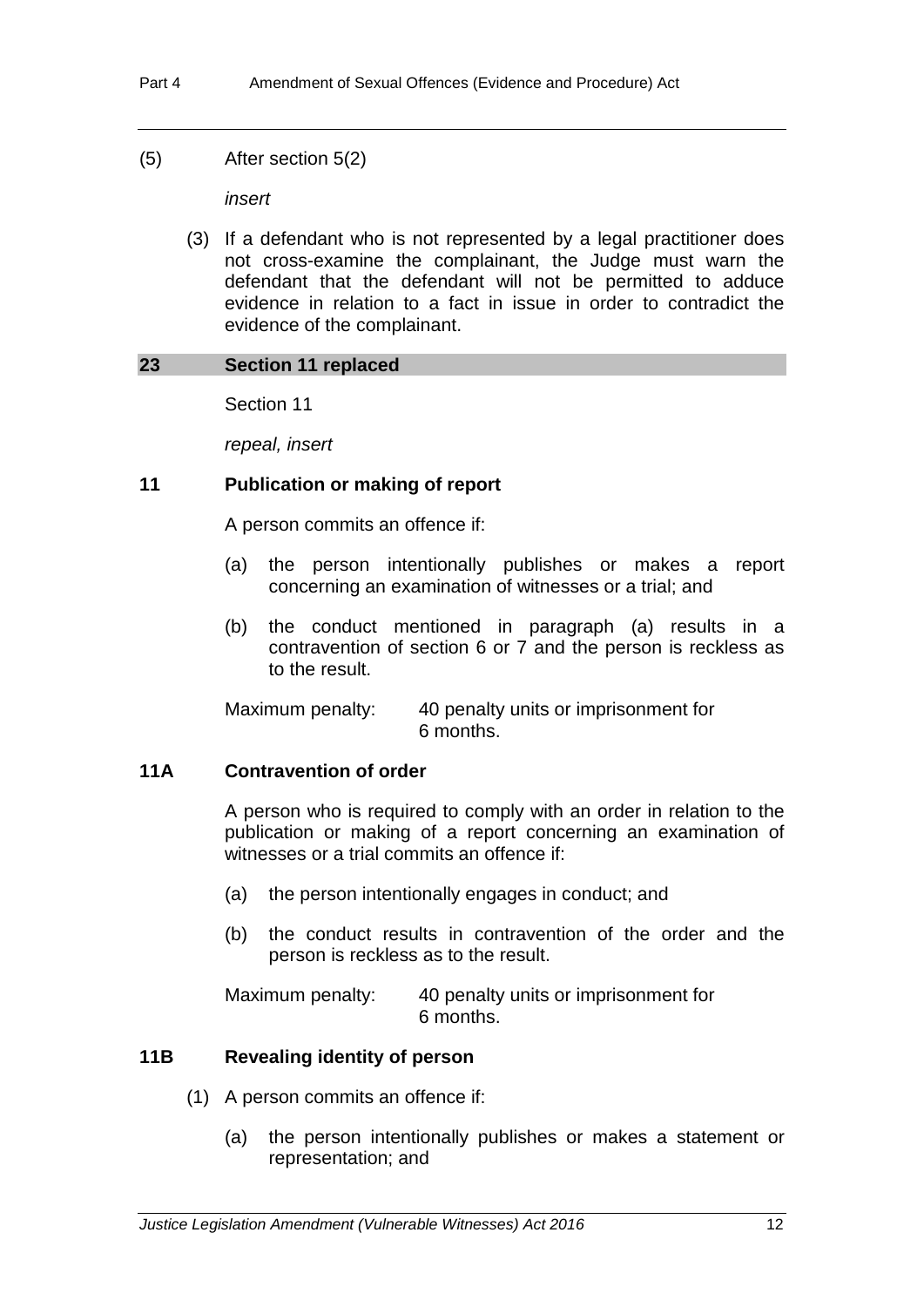(5) After section 5(2)

*insert*

(3) If a defendant who is not represented by a legal practitioner does not cross-examine the complainant, the Judge must warn the defendant that the defendant will not be permitted to adduce evidence in relation to a fact in issue in order to contradict the evidence of the complainant.

## **23 Section 11 replaced**

Section 11

*repeal, insert*

## **11 Publication or making of report**

A person commits an offence if:

- (a) the person intentionally publishes or makes a report concerning an examination of witnesses or a trial; and
- (b) the conduct mentioned in paragraph (a) results in a contravention of section 6 or 7 and the person is reckless as to the result.

Maximum penalty: 40 penalty units or imprisonment for 6 months.

## **11A Contravention of order**

A person who is required to comply with an order in relation to the publication or making of a report concerning an examination of witnesses or a trial commits an offence if:

- (a) the person intentionally engages in conduct; and
- (b) the conduct results in contravention of the order and the person is reckless as to the result.

Maximum penalty: 40 penalty units or imprisonment for 6 months.

## **11B Revealing identity of person**

- (1) A person commits an offence if:
	- (a) the person intentionally publishes or makes a statement or representation; and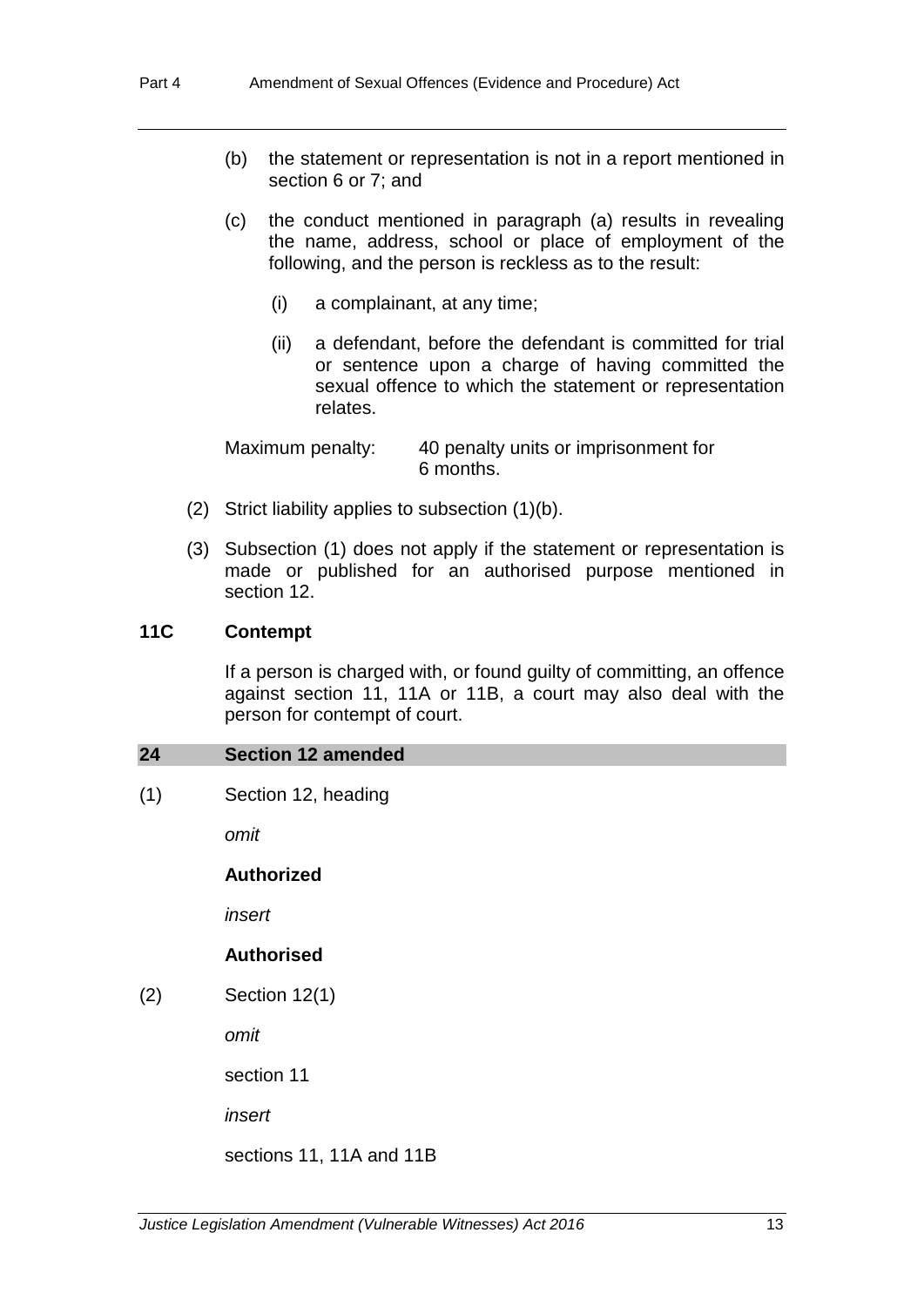- (b) the statement or representation is not in a report mentioned in section 6 or 7; and
- (c) the conduct mentioned in paragraph (a) results in revealing the name, address, school or place of employment of the following, and the person is reckless as to the result:
	- (i) a complainant, at any time;
	- (ii) a defendant, before the defendant is committed for trial or sentence upon a charge of having committed the sexual offence to which the statement or representation relates.

Maximum penalty: 40 penalty units or imprisonment for 6 months.

- (2) Strict liability applies to subsection (1)(b).
- (3) Subsection (1) does not apply if the statement or representation is made or published for an authorised purpose mentioned in section 12.

#### **11C Contempt**

If a person is charged with, or found guilty of committing, an offence against section 11, 11A or 11B, a court may also deal with the person for contempt of court.

#### **24 Section 12 amended**

(1) Section 12, heading

*omit*

#### **Authorized**

*insert*

## **Authorised**

(2) Section 12(1)

*omit*

section 11

*insert*

sections 11, 11A and 11B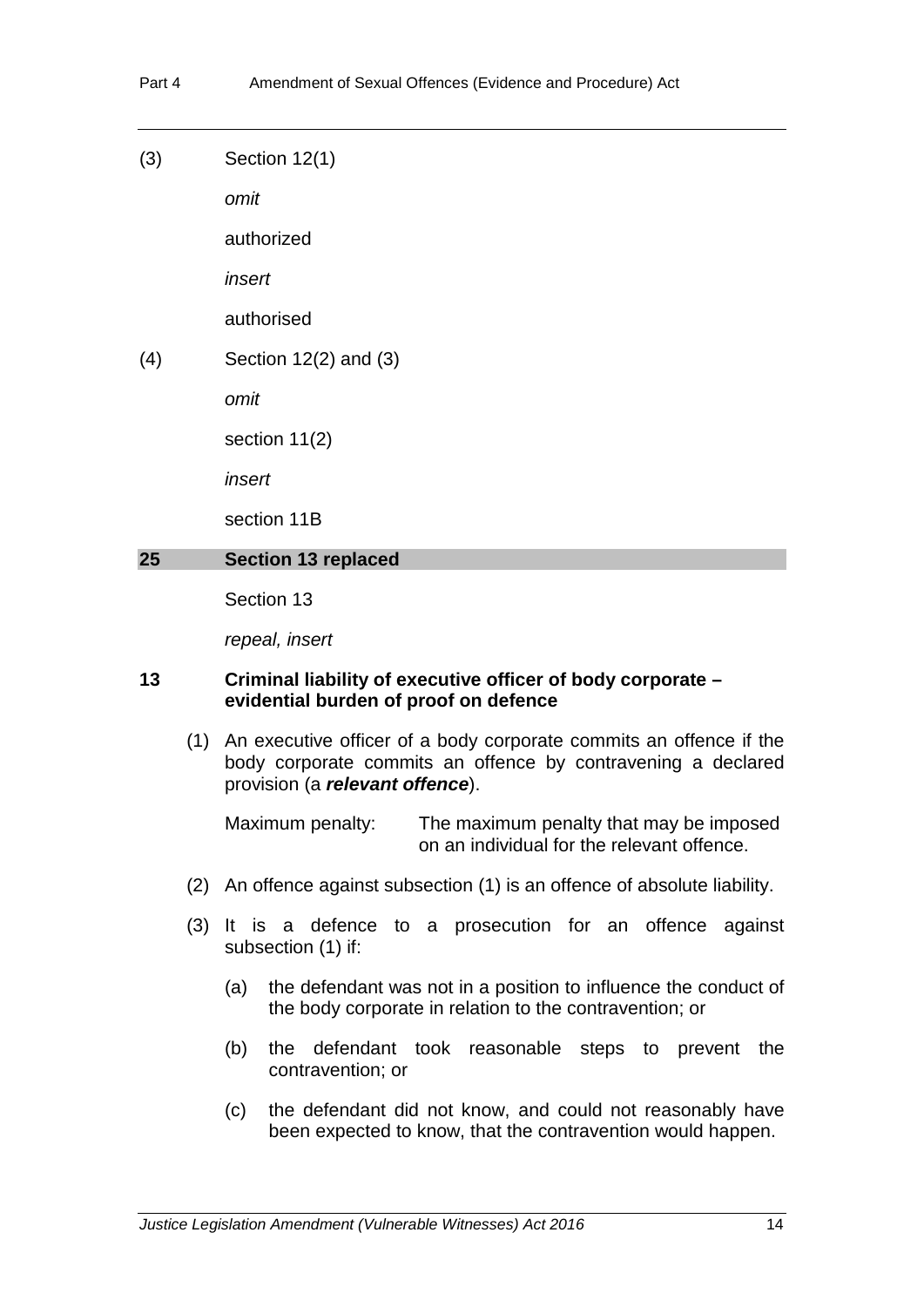(3) Section 12(1)

*omit*

authorized

*insert*

authorised

(4) Section 12(2) and (3)

*omit*

section 11(2)

*insert*

section 11B

#### **25 Section 13 replaced**

Section 13

*repeal, insert*

#### **13 Criminal liability of executive officer of body corporate – evidential burden of proof on defence**

(1) An executive officer of a body corporate commits an offence if the body corporate commits an offence by contravening a declared provision (a *relevant offence*).

Maximum penalty: The maximum penalty that may be imposed on an individual for the relevant offence.

- (2) An offence against subsection (1) is an offence of absolute liability.
- (3) It is a defence to a prosecution for an offence against subsection (1) if:
	- (a) the defendant was not in a position to influence the conduct of the body corporate in relation to the contravention; or
	- (b) the defendant took reasonable steps to prevent the contravention; or
	- (c) the defendant did not know, and could not reasonably have been expected to know, that the contravention would happen.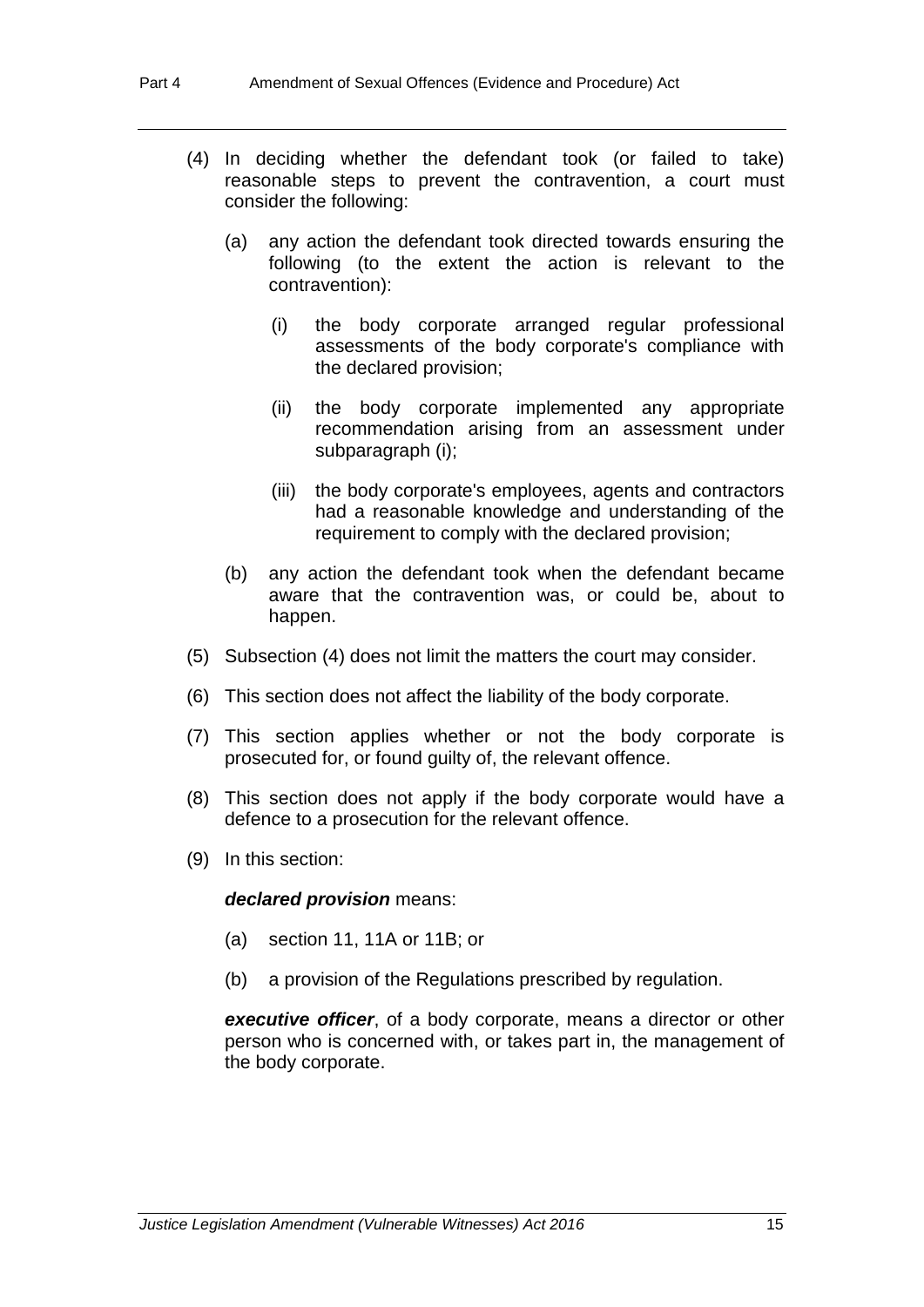- (4) In deciding whether the defendant took (or failed to take) reasonable steps to prevent the contravention, a court must consider the following:
	- (a) any action the defendant took directed towards ensuring the following (to the extent the action is relevant to the contravention):
		- (i) the body corporate arranged regular professional assessments of the body corporate's compliance with the declared provision;
		- (ii) the body corporate implemented any appropriate recommendation arising from an assessment under subparagraph (i);
		- (iii) the body corporate's employees, agents and contractors had a reasonable knowledge and understanding of the requirement to comply with the declared provision;
	- (b) any action the defendant took when the defendant became aware that the contravention was, or could be, about to happen.
- (5) Subsection (4) does not limit the matters the court may consider.
- (6) This section does not affect the liability of the body corporate.
- (7) This section applies whether or not the body corporate is prosecuted for, or found guilty of, the relevant offence.
- (8) This section does not apply if the body corporate would have a defence to a prosecution for the relevant offence.
- (9) In this section:

#### *declared provision* means:

- (a) section 11, 11A or 11B; or
- (b) a provision of the Regulations prescribed by regulation.

*executive officer*, of a body corporate, means a director or other person who is concerned with, or takes part in, the management of the body corporate.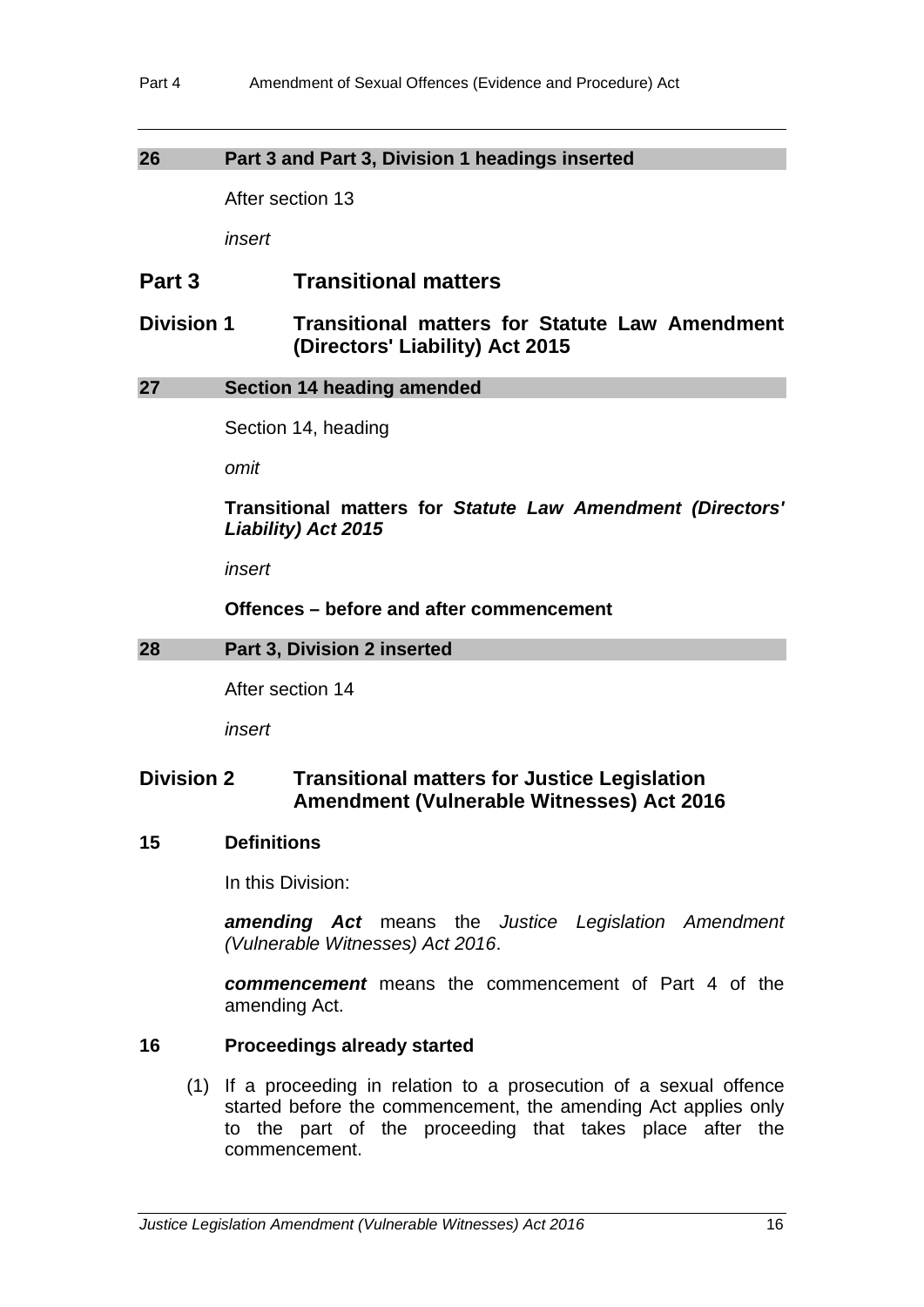## **26 Part 3 and Part 3, Division 1 headings inserted**

After section 13

*insert*

## **Part 3 Transitional matters**

## **Division 1 Transitional matters for Statute Law Amendment (Directors' Liability) Act 2015**

## **27 Section 14 heading amended**

Section 14, heading

*omit*

## **Transitional matters for** *Statute Law Amendment (Directors' Liability) Act 2015*

*insert*

**Offences – before and after commencement**

## **28 Part 3, Division 2 inserted**

After section 14

*insert*

## **Division 2 Transitional matters for Justice Legislation Amendment (Vulnerable Witnesses) Act 2016**

## **15 Definitions**

In this Division:

*amending Act* means the *Justice Legislation Amendment (Vulnerable Witnesses) Act 2016*.

*commencement* means the commencement of Part 4 of the amending Act.

## **16 Proceedings already started**

(1) If a proceeding in relation to a prosecution of a sexual offence started before the commencement, the amending Act applies only to the part of the proceeding that takes place after the commencement.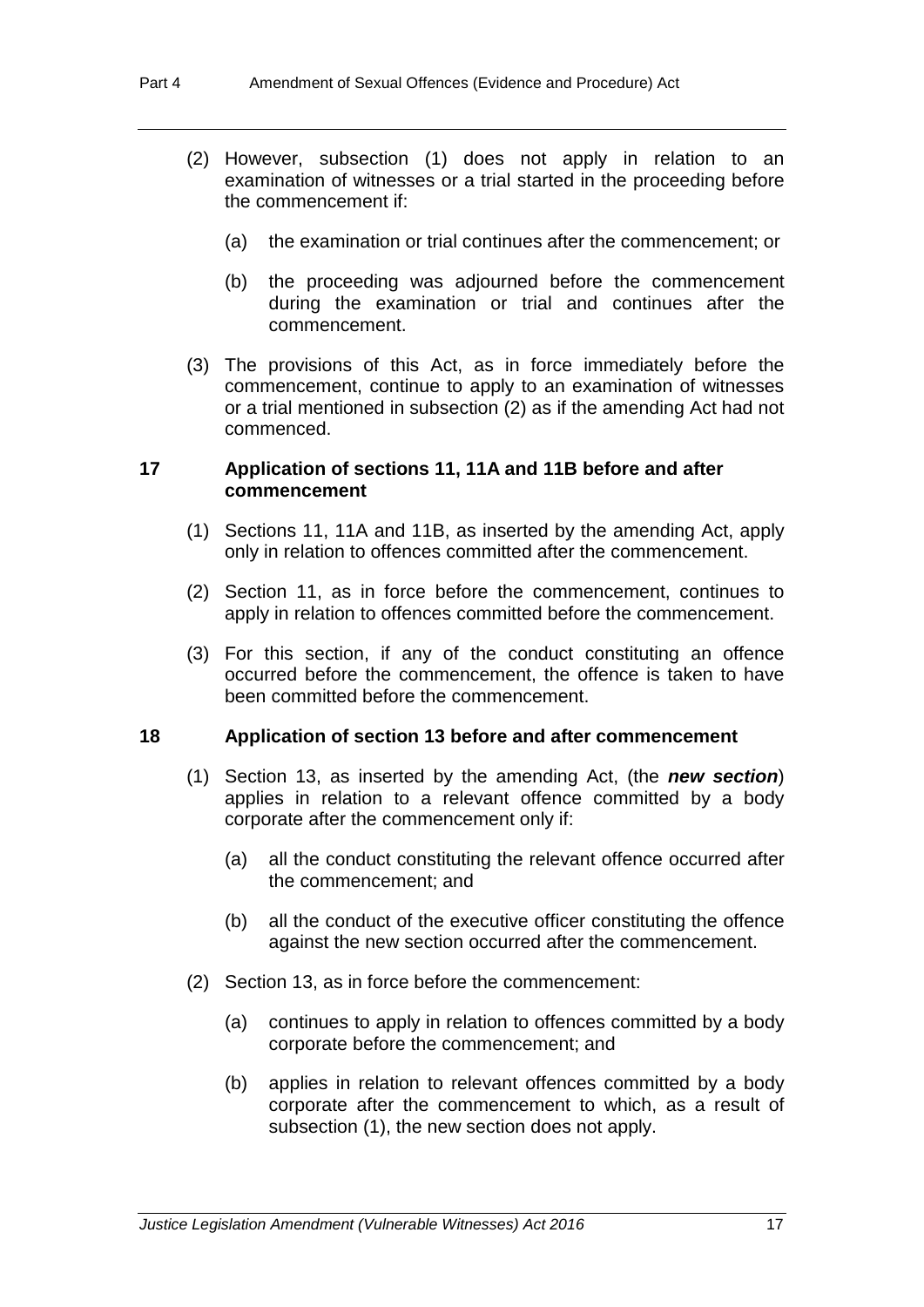- (2) However, subsection (1) does not apply in relation to an examination of witnesses or a trial started in the proceeding before the commencement if:
	- (a) the examination or trial continues after the commencement; or
	- (b) the proceeding was adjourned before the commencement during the examination or trial and continues after the commencement.
- (3) The provisions of this Act, as in force immediately before the commencement, continue to apply to an examination of witnesses or a trial mentioned in subsection (2) as if the amending Act had not commenced.

#### **17 Application of sections 11, 11A and 11B before and after commencement**

- (1) Sections 11, 11A and 11B, as inserted by the amending Act, apply only in relation to offences committed after the commencement.
- (2) Section 11, as in force before the commencement, continues to apply in relation to offences committed before the commencement.
- (3) For this section, if any of the conduct constituting an offence occurred before the commencement, the offence is taken to have been committed before the commencement.

#### **18 Application of section 13 before and after commencement**

- (1) Section 13, as inserted by the amending Act, (the *new section*) applies in relation to a relevant offence committed by a body corporate after the commencement only if:
	- (a) all the conduct constituting the relevant offence occurred after the commencement; and
	- (b) all the conduct of the executive officer constituting the offence against the new section occurred after the commencement.
- (2) Section 13, as in force before the commencement:
	- (a) continues to apply in relation to offences committed by a body corporate before the commencement; and
	- (b) applies in relation to relevant offences committed by a body corporate after the commencement to which, as a result of subsection (1), the new section does not apply.